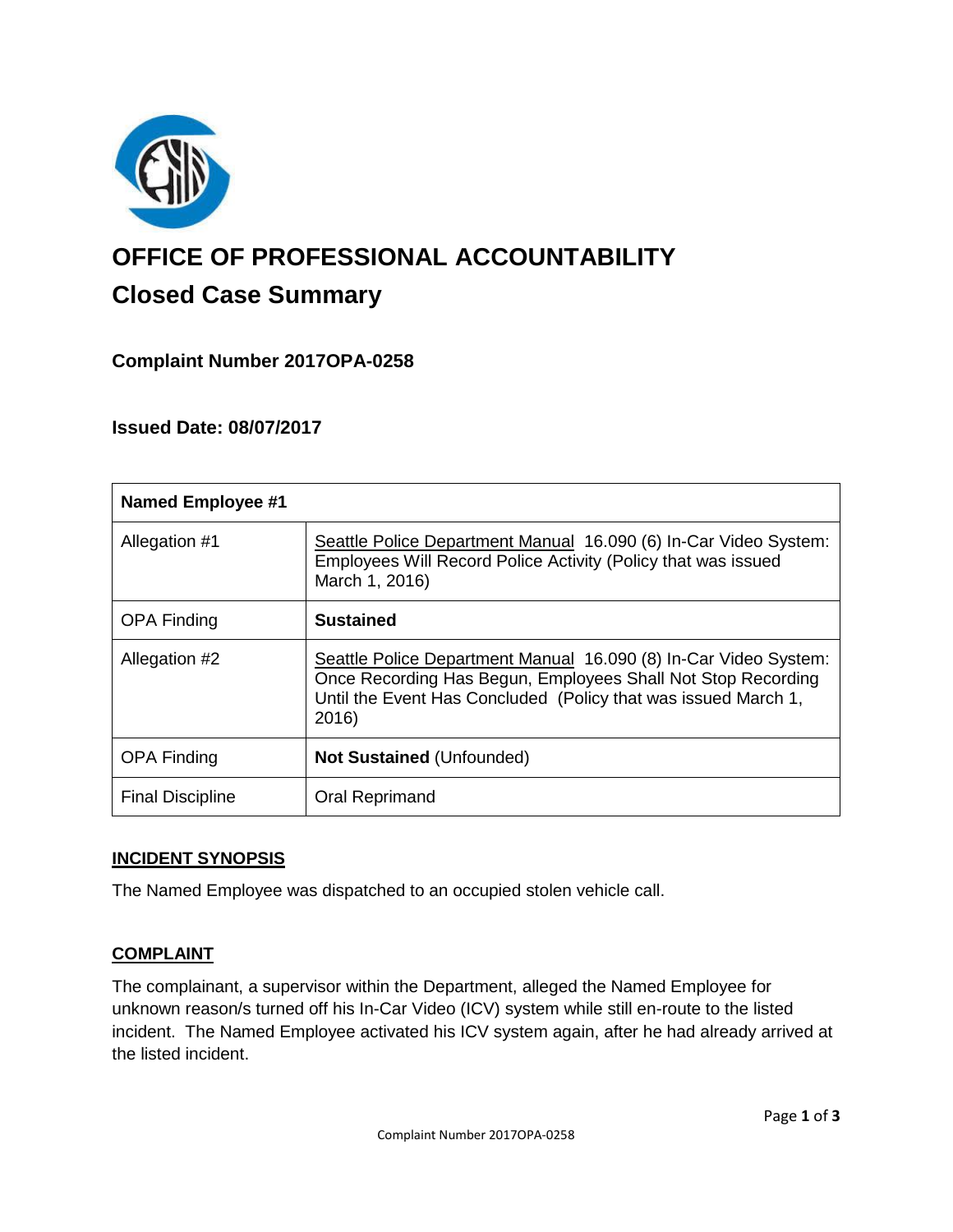

# **OFFICE OF PROFESSIONAL ACCOUNTABILITY Closed Case Summary**

# **Complaint Number 2017OPA-0258**

## **Issued Date: 08/07/2017**

| <b>Named Employee #1</b> |                                                                                                                                                                                                             |
|--------------------------|-------------------------------------------------------------------------------------------------------------------------------------------------------------------------------------------------------------|
| Allegation #1            | Seattle Police Department Manual 16.090 (6) In-Car Video System:<br>Employees Will Record Police Activity (Policy that was issued<br>March 1, 2016)                                                         |
| <b>OPA Finding</b>       | <b>Sustained</b>                                                                                                                                                                                            |
| Allegation #2            | Seattle Police Department Manual 16.090 (8) In-Car Video System:<br>Once Recording Has Begun, Employees Shall Not Stop Recording<br>Until the Event Has Concluded (Policy that was issued March 1,<br>2016) |
| <b>OPA Finding</b>       | <b>Not Sustained (Unfounded)</b>                                                                                                                                                                            |
| <b>Final Discipline</b>  | Oral Reprimand                                                                                                                                                                                              |

## **INCIDENT SYNOPSIS**

The Named Employee was dispatched to an occupied stolen vehicle call.

## **COMPLAINT**

The complainant, a supervisor within the Department, alleged the Named Employee for unknown reason/s turned off his In-Car Video (ICV) system while still en-route to the listed incident. The Named Employee activated his ICV system again, after he had already arrived at the listed incident.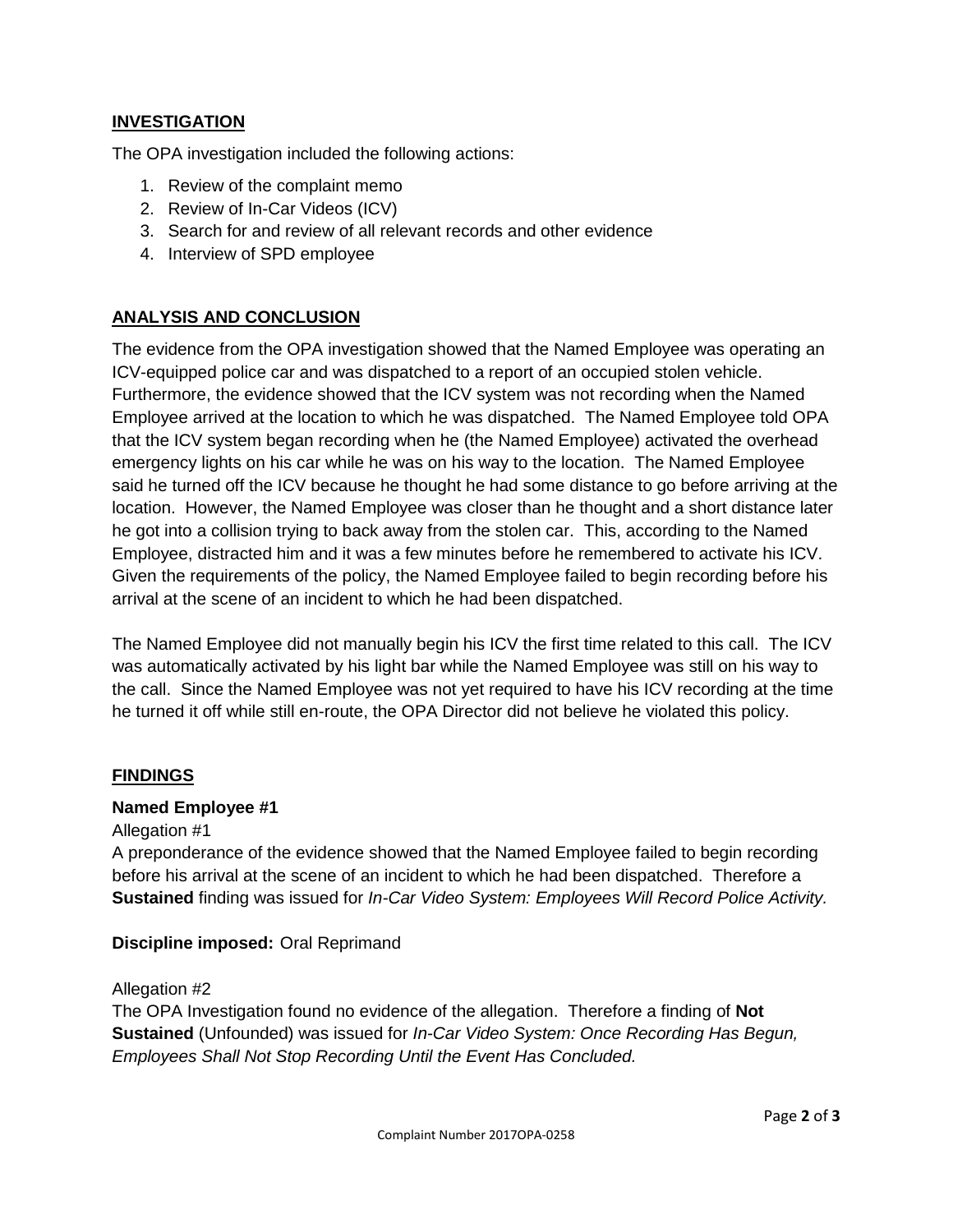## **INVESTIGATION**

The OPA investigation included the following actions:

- 1. Review of the complaint memo
- 2. Review of In-Car Videos (ICV)
- 3. Search for and review of all relevant records and other evidence
- 4. Interview of SPD employee

## **ANALYSIS AND CONCLUSION**

The evidence from the OPA investigation showed that the Named Employee was operating an ICV-equipped police car and was dispatched to a report of an occupied stolen vehicle. Furthermore, the evidence showed that the ICV system was not recording when the Named Employee arrived at the location to which he was dispatched. The Named Employee told OPA that the ICV system began recording when he (the Named Employee) activated the overhead emergency lights on his car while he was on his way to the location. The Named Employee said he turned off the ICV because he thought he had some distance to go before arriving at the location. However, the Named Employee was closer than he thought and a short distance later he got into a collision trying to back away from the stolen car. This, according to the Named Employee, distracted him and it was a few minutes before he remembered to activate his ICV. Given the requirements of the policy, the Named Employee failed to begin recording before his arrival at the scene of an incident to which he had been dispatched.

The Named Employee did not manually begin his ICV the first time related to this call. The ICV was automatically activated by his light bar while the Named Employee was still on his way to the call. Since the Named Employee was not yet required to have his ICV recording at the time he turned it off while still en-route, the OPA Director did not believe he violated this policy.

#### **FINDINGS**

#### **Named Employee #1**

#### Allegation #1

A preponderance of the evidence showed that the Named Employee failed to begin recording before his arrival at the scene of an incident to which he had been dispatched. Therefore a **Sustained** finding was issued for *In-Car Video System: Employees Will Record Police Activity.*

**Discipline imposed:** Oral Reprimand

#### Allegation #2

The OPA Investigation found no evidence of the allegation. Therefore a finding of **Not Sustained** (Unfounded) was issued for *In-Car Video System: Once Recording Has Begun, Employees Shall Not Stop Recording Until the Event Has Concluded.*